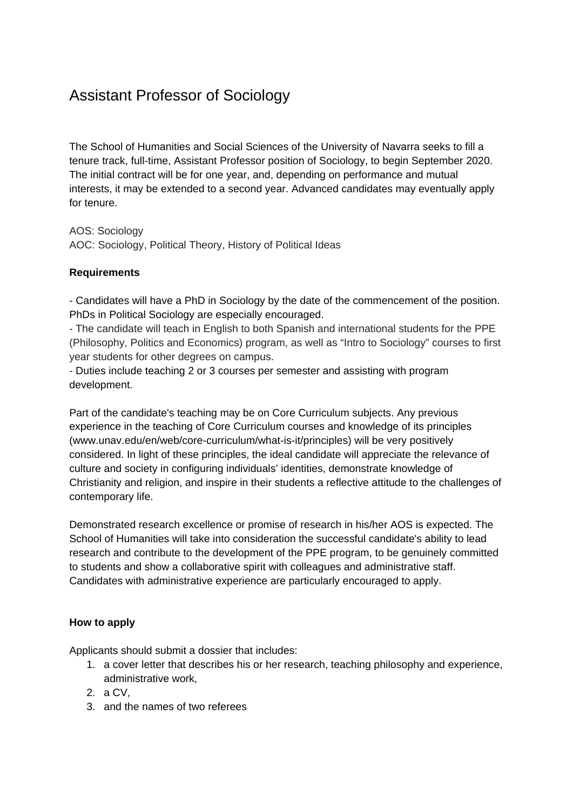## Assistant Professor of Sociology

The School of Humanities and Social Sciences of the University of Navarra seeks to fill a tenure track, full-time, Assistant Professor position of Sociology, to begin September 2020. The initial contract will be for one year, and, depending on performance and mutual interests, it may be extended to a second year. Advanced candidates may eventually apply for tenure.

AOS: Sociology AOC: Sociology, Political Theory, History of Political Ideas

## **Requirements**

- Candidates will have a PhD in Sociology by the date of the commencement of the position. PhDs in Political Sociology are especially encouraged.

- The candidate will teach in English to both Spanish and international students for the PPE (Philosophy, Politics and Economics) program, as well as "Intro to Sociology" courses to first year students for other degrees on campus.

- Duties include teaching 2 or 3 courses per semester and assisting with program development.

Part of the candidate's teaching may be on Core Curriculum subjects. Any previous experience in the teaching of Core Curriculum courses and knowledge of its principles (www.unav.edu/en/web/core-curriculum/what-is-it/principles) will be very positively considered. In light of these principles, the ideal candidate will appreciate the relevance of culture and society in configuring individuals' identities, demonstrate knowledge of Christianity and religion, and inspire in their students a reflective attitude to the challenges of contemporary life.

Demonstrated research excellence or promise of research in his/her AOS is expected. The School of Humanities will take into consideration the successful candidate's ability to lead research and contribute to the development of the PPE program, to be genuinely committed to students and show a collaborative spirit with colleagues and administrative staff. Candidates with administrative experience are particularly encouraged to apply.

## **How to apply**

Applicants should submit a dossier that includes:

- 1. a cover letter that describes his or her research, teaching philosophy and experience, administrative work,
- 2. a CV,
- 3. and the names of two referees